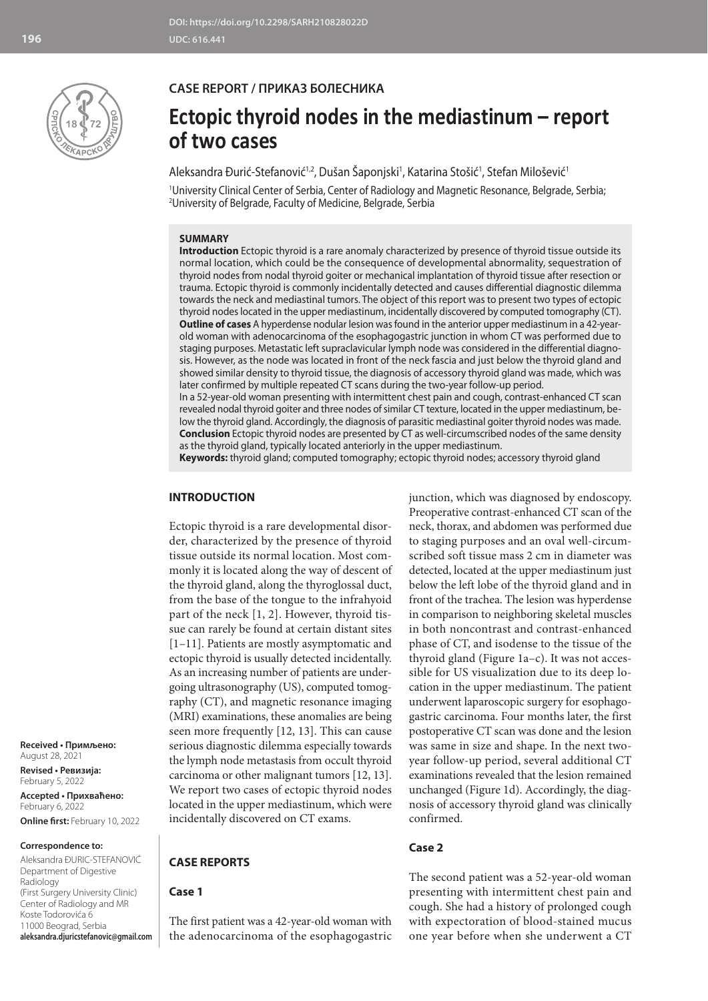

## **CASE REPORT / ПРИКАЗ БОЛЕСНИКА**

# **Ectopic thyroid nodes in the mediastinum – report of two cases**

Aleksandra Đurić-Stefanović<sup>1,2</sup>, Dušan Saponjski<sup>1</sup>, Katarina Stošić<sup>1</sup>, Stefan Milošević<sup>1</sup>

1 University Clinical Center of Serbia, Center of Radiology and Magnetic Resonance, Belgrade, Serbia; 2 University of Belgrade, Faculty of Medicine, Belgrade, Serbia

## **SUMMARY**

**Introduction** Ectopic thyroid is a rare anomaly characterized by presence of thyroid tissue outside its normal location, which could be the consequence of developmental abnormality, sequestration of thyroid nodes from nodal thyroid goiter or mechanical implantation of thyroid tissue after resection or trauma. Ectopic thyroid is commonly incidentally detected and causes differential diagnostic dilemma towards the neck and mediastinal tumors. The object of this report was to present two types of ectopic thyroid nodes located in the upper mediastinum, incidentally discovered by computed tomography (CT). **Outline of cases** A hyperdense nodular lesion was found in the anterior upper mediastinum in a 42-yearold woman with adenocarcinoma of the esophagogastric junction in whom CT was performed due to staging purposes. Metastatic left supraclavicular lymph node was considered in the differential diagnosis. However, as the node was located in front of the neck fascia and just below the thyroid gland and showed similar density to thyroid tissue, the diagnosis of accessory thyroid gland was made, which was later confirmed by multiple repeated CT scans during the two-year follow-up period. In a 52-year-old woman presenting with intermittent chest pain and cough, contrast-enhanced CT scan

revealed nodal thyroid goiter and three nodes of similar CT texture, located in the upper mediastinum, below the thyroid gland. Accordingly, the diagnosis of parasitic mediastinal goiter thyroid nodes was made. **Conclusion** Ectopic thyroid nodes are presented by CT as well-circumscribed nodes of the same density as the thyroid gland, typically located anteriorly in the upper mediastinum.

**Keywords:** thyroid gland; computed tomography; ectopic thyroid nodes; accessory thyroid gland

## **INTRODUCTION**

Ectopic thyroid is a rare developmental disorder, characterized by the presence of thyroid tissue outside its normal location. Most commonly it is located along the way of descent of the thyroid gland, along the thyroglossal duct, from the base of the tongue to the infrahyoid part of the neck [1, 2]. However, thyroid tissue can rarely be found at certain distant sites [1–11]. Patients are mostly asymptomatic and ectopic thyroid is usually detected incidentally. As an increasing number of patients are undergoing ultrasonography (US), computed tomography (CT), and magnetic resonance imaging (MRI) examinations, these anomalies are being seen more frequently [12, 13]. This can cause serious diagnostic dilemma especially towards the lymph node metastasis from occult thyroid carcinoma or other malignant tumors [12, 13]. We report two cases of ectopic thyroid nodes located in the upper mediastinum, which were incidentally discovered on CT exams.

## **CASE REPORTS**

**Case 1**

The first patient was a 42-year-old woman with the adenocarcinoma of the esophagogastric junction, which was diagnosed by endoscopy. Preoperative contrast-enhanced CT scan of the neck, thorax, and abdomen was performed due to staging purposes and an oval well-circumscribed soft tissue mass 2 cm in diameter was detected, located at the upper mediastinum just below the left lobe of the thyroid gland and in front of the trachea. The lesion was hyperdense in comparison to neighboring skeletal muscles in both noncontrast and contrast-enhanced phase of CT, and isodense to the tissue of the thyroid gland (Figure 1a–c). It was not accessible for US visualization due to its deep location in the upper mediastinum. The patient underwent laparoscopic surgery for esophagogastric carcinoma. Four months later, the first postoperative CT scan was done and the lesion was same in size and shape. In the next twoyear follow-up period, several additional CT examinations revealed that the lesion remained unchanged (Figure 1d). Accordingly, the diagnosis of accessory thyroid gland was clinically confirmed.

## **Case 2**

The second patient was a 52-year-old woman presenting with intermittent chest pain and cough. She had a history of prolonged cough with expectoration of blood-stained mucus one year before when she underwent a CT

**Received • Примљено:**  August 28, 2021

**Revised • Ревизија:**  February 5, 2022 **Accepted • Прихваћено:** February 6, 2022 **Online first:** February 10, 2022

#### **Correspondence to:**

Aleksandra ĐURIC-STEFANOVIĆ Department of Digestive Radiology (First Surgery University Clinic) Center of Radiology and MR Koste Todorovića 6 11000 Beograd, Serbia **aleksandra.djuricstefanovic@gmail.com**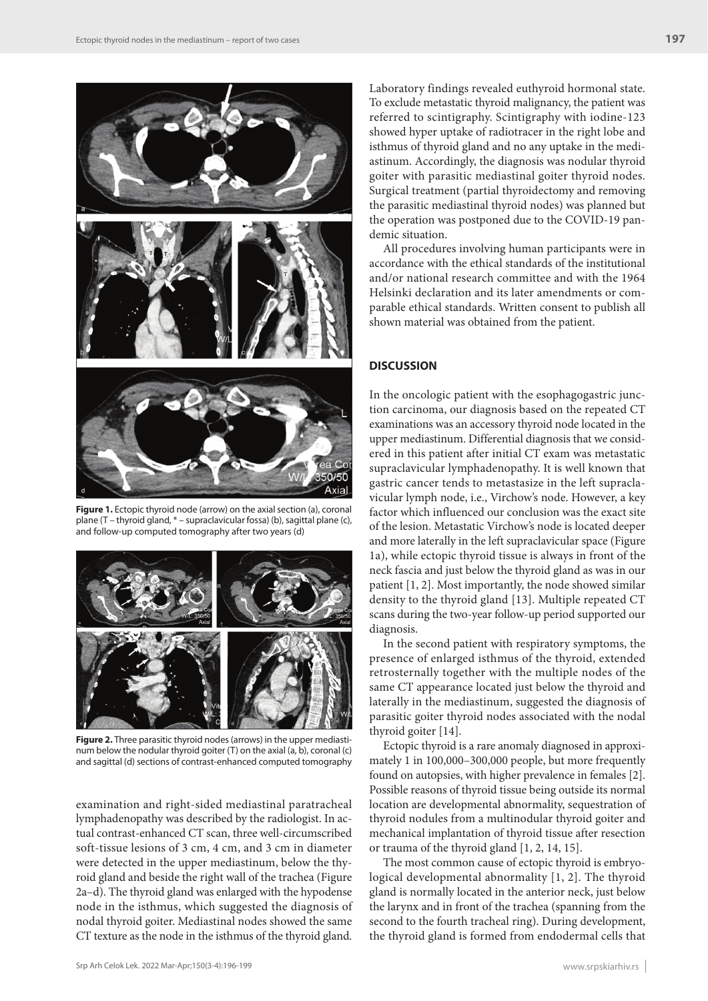

**Figure 1.** Ectopic thyroid node (arrow) on the axial section (a), coronal plane (T – thyroid gland, \* – supraclavicular fossa) (b), sagittal plane (c), and follow-up computed tomography after two years (d)



**Figure 2.** Three parasitic thyroid nodes (arrows) in the upper mediastinum below the nodular thyroid goiter (T) on the axial (a, b), coronal (c) and sagittal (d) sections of contrast-enhanced computed tomography

examination and right-sided mediastinal paratracheal lymphadenopathy was described by the radiologist. In actual contrast-enhanced CT scan, three well-circumscribed soft-tissue lesions of 3 cm, 4 cm, and 3 cm in diameter were detected in the upper mediastinum, below the thyroid gland and beside the right wall of the trachea (Figure 2a–d). The thyroid gland was enlarged with the hypodense node in the isthmus, which suggested the diagnosis of nodal thyroid goiter. Mediastinal nodes showed the same CT texture as the node in the isthmus of the thyroid gland.

Laboratory findings revealed euthyroid hormonal state. To exclude metastatic thyroid malignancy, the patient was referred to scintigraphy. Scintigraphy with iodine-123 showed hyper uptake of radiotracer in the right lobe and isthmus of thyroid gland and no any uptake in the mediastinum. Accordingly, the diagnosis was nodular thyroid goiter with parasitic mediastinal goiter thyroid nodes. Surgical treatment (partial thyroidectomy and removing the parasitic mediastinal thyroid nodes) was planned but the operation was postponed due to the COVID-19 pandemic situation.

All procedures involving human participants were in accordance with the ethical standards of the institutional and/or national research committee and with the 1964 Helsinki declaration and its later amendments or comparable ethical standards. Written consent to publish all shown material was obtained from the patient.

## **DISCUSSION**

In the oncologic patient with the esophagogastric junction carcinoma, our diagnosis based on the repeated CT examinations was an accessory thyroid node located in the upper mediastinum. Differential diagnosis that we considered in this patient after initial CT exam was metastatic supraclavicular lymphadenopathy. It is well known that gastric cancer tends to metastasize in the left supraclavicular lymph node, i.e., Virchow's node. However, a key factor which influenced our conclusion was the exact site of the lesion. Metastatic Virchow's node is located deeper and more laterally in the left supraclavicular space (Figure 1a), while ectopic thyroid tissue is always in front of the neck fascia and just below the thyroid gland as was in our patient [1, 2]. Most importantly, the node showed similar density to the thyroid gland [13]. Multiple repeated CT scans during the two-year follow-up period supported our diagnosis.

In the second patient with respiratory symptoms, the presence of enlarged isthmus of the thyroid, extended retrosternally together with the multiple nodes of the same CT appearance located just below the thyroid and laterally in the mediastinum, suggested the diagnosis of parasitic goiter thyroid nodes associated with the nodal thyroid goiter [14].

Ectopic thyroid is a rare anomaly diagnosed in approximately 1 in 100,000–300,000 people, but more frequently found on autopsies, with higher prevalence in females [2]. Possible reasons of thyroid tissue being outside its normal location are developmental abnormality, sequestration of thyroid nodules from a multinodular thyroid goiter and mechanical implantation of thyroid tissue after resection or trauma of the thyroid gland [1, 2, 14, 15].

The most common cause of ectopic thyroid is embryological developmental abnormality [1, 2]. The thyroid gland is normally located in the anterior neck, just below the larynx and in front of the trachea (spanning from the second to the fourth tracheal ring). During development, the thyroid gland is formed from endodermal cells that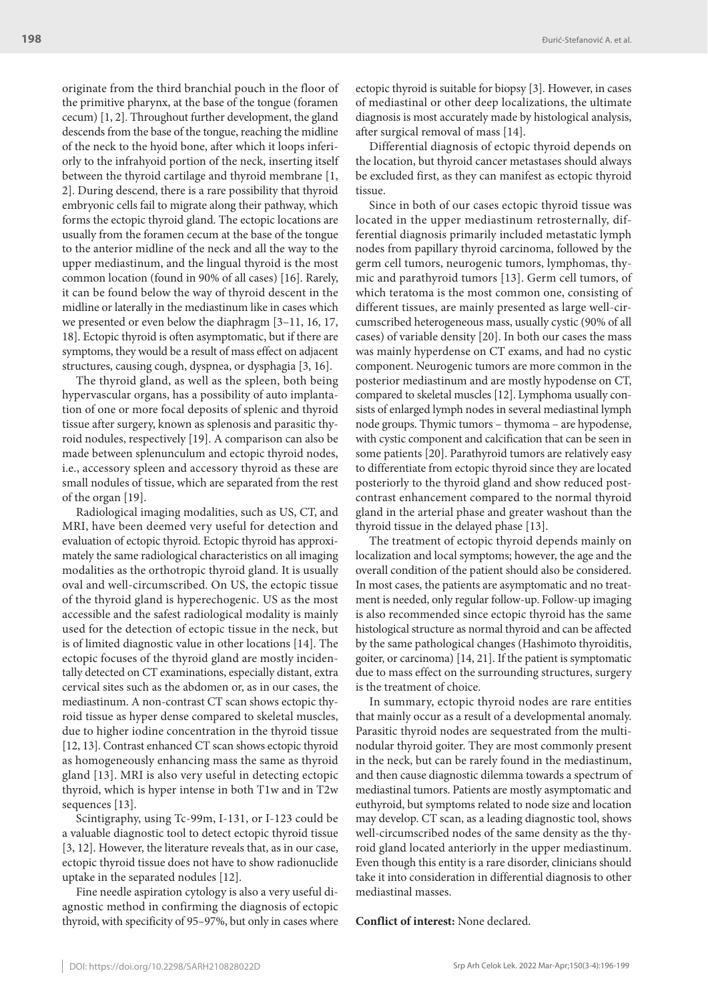originate from the third branchial pouch in the floor of the primitive pharynx, at the base of the tongue (foramen cecum) [1, 2]. Throughout further development, the gland descends from the base of the tongue, reaching the midline of the neck to the hyoid bone, after which it loops inferiorly to the infrahyoid portion of the neck, inserting itself between the thyroid cartilage and thyroid membrane [1, 2]. During descend, there is a rare possibility that thyroid embryonic cells fail to migrate along their pathway, which forms the ectopic thyroid gland. The ectopic locations are usually from the foramen cecum at the base of the tongue to the anterior midline of the neck and all the way to the upper mediastinum, and the lingual thyroid is the most common location (found in 90% of all cases) [16]. Rarely, it can be found below the way of thyroid descent in the midline or laterally in the mediastinum like in cases which we presented or even below the diaphragm [3–11, 16, 17, 18]. Ectopic thyroid is often asymptomatic, but if there are symptoms, they would be a result of mass effect on adjacent structures, causing cough, dyspnea, or dysphagia [3, 16].

The thyroid gland, as well as the spleen, both being hypervascular organs, has a possibility of auto implantation of one or more focal deposits of splenic and thyroid tissue after surgery, known as splenosis and parasitic thyroid nodules, respectively [19]. A comparison can also be made between splenunculum and ectopic thyroid nodes, i.e., accessory spleen and accessory thyroid as these are small nodules of tissue, which are separated from the rest of the organ [19].

Radiological imaging modalities, such as US, CT, and MRI, have been deemed very useful for detection and evaluation of ectopic thyroid. Ectopic thyroid has approximately the same radiological characteristics on all imaging modalities as the orthotropic thyroid gland. It is usually oval and well-circumscribed. On US, the ectopic tissue of the thyroid gland is hyperechogenic. US as the most accessible and the safest radiological modality is mainly used for the detection of ectopic tissue in the neck, but is of limited diagnostic value in other locations [14]. The ectopic focuses of the thyroid gland are mostly incidentally detected on CT examinations, especially distant, extra cervical sites such as the abdomen or, as in our cases, the mediastinum. A non-contrast CT scan shows ectopic thyroid tissue as hyper dense compared to skeletal muscles, due to higher iodine concentration in the thyroid tissue [12, 13]. Contrast enhanced CT scan shows ectopic thyroid as homogeneously enhancing mass the same as thyroid gland [13]. MRI is also very useful in detecting ectopic thyroid, which is hyper intense in both T1w and in T2w sequences [13].

Scintigraphy, using Tc-99m, I-131, or I-123 could be a valuable diagnostic tool to detect ectopic thyroid tissue [3, 12]. However, the literature reveals that, as in our case, ectopic thyroid tissue does not have to show radionuclide uptake in the separated nodules [12].

Fine needle aspiration cytology is also a very useful diagnostic method in confirming the diagnosis of ectopic thyroid, with specificity of 95–97%, but only in cases where ectopic thyroid is suitable for biopsy [3]. However, in cases of mediastinal or other deep localizations, the ultimate diagnosis is most accurately made by histological analysis, after surgical removal of mass [14].

Differential diagnosis of ectopic thyroid depends on the location, but thyroid cancer metastases should always be excluded first, as they can manifest as ectopic thyroid tissue.

Since in both of our cases ectopic thyroid tissue was located in the upper mediastinum retrosternally, differential diagnosis primarily included metastatic lymph nodes from papillary thyroid carcinoma, followed by the germ cell tumors, neurogenic tumors, lymphomas, thymic and parathyroid tumors [13]. Germ cell tumors, of which teratoma is the most common one, consisting of different tissues, are mainly presented as large well-circumscribed heterogeneous mass, usually cystic (90% of all cases) of variable density [20]. In both our cases the mass was mainly hyperdense on CT exams, and had no cystic component. Neurogenic tumors are more common in the posterior mediastinum and are mostly hypodense on CT, compared to skeletal muscles [12]. Lymphoma usually consists of enlarged lymph nodes in several mediastinal lymph node groups. Thymic tumors – thymoma – are hypodense, with cystic component and calcification that can be seen in some patients [20]. Parathyroid tumors are relatively easy to differentiate from ectopic thyroid since they are located posteriorly to the thyroid gland and show reduced postcontrast enhancement compared to the normal thyroid gland in the arterial phase and greater washout than the thyroid tissue in the delayed phase [13].

The treatment of ectopic thyroid depends mainly on localization and local symptoms; however, the age and the overall condition of the patient should also be considered. In most cases, the patients are asymptomatic and no treatment is needed, only regular follow-up. Follow-up imaging is also recommended since ectopic thyroid has the same histological structure as normal thyroid and can be affected by the same pathological changes (Hashimoto thyroiditis, goiter, or carcinoma) [14, 21]. If the patient is symptomatic due to mass effect on the surrounding structures, surgery is the treatment of choice.

In summary, ectopic thyroid nodes are rare entities that mainly occur as a result of a developmental anomaly. Parasitic thyroid nodes are sequestrated from the multinodular thyroid goiter. They are most commonly present in the neck, but can be rarely found in the mediastinum, and then cause diagnostic dilemma towards a spectrum of mediastinal tumors. Patients are mostly asymptomatic and euthyroid, but symptoms related to node size and location may develop. CT scan, as a leading diagnostic tool, shows well-circumscribed nodes of the same density as the thyroid gland located anteriorly in the upper mediastinum. Even though this entity is a rare disorder, clinicians should take it into consideration in differential diagnosis to other mediastinal masses.

**Conflict of interest:** None declared.